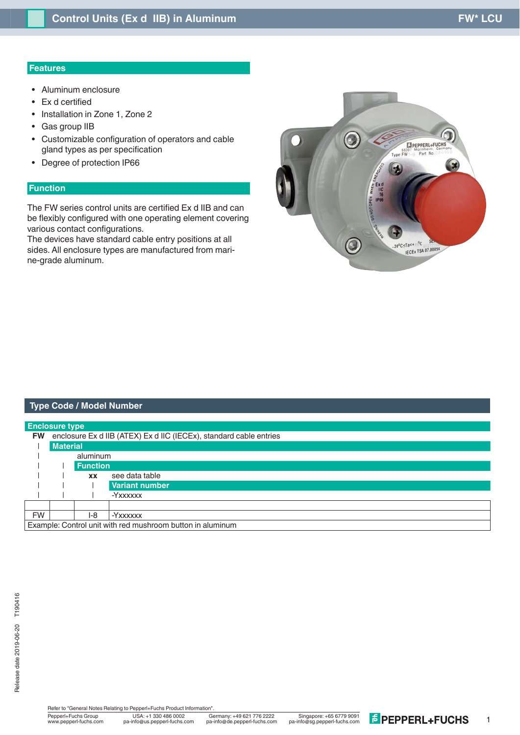## **Features**

- Aluminum enclosure
- $\bullet$  Ex d certified
- Installation in Zone 1, Zone 2
- Gas group IIB
- Customizable configuration of operators and cable gland types as per specification
- Degree of protection IP66

# **Function**

The FW series control units are certified Ex d IIB and can be flexibly configured with one operating element covering various contact configurations.

The devices have standard cable entry positions at all sides. All enclosure types are manufactured from marine-grade aluminum.



### **Type Code / Model Number**

| <b>Enclosure type</b> |                                                                    |                 |                       |  |  |  |  |  |
|-----------------------|--------------------------------------------------------------------|-----------------|-----------------------|--|--|--|--|--|
| <b>FW</b>             | enclosure Ex d IIB (ATEX) Ex d IIC (IECEx), standard cable entries |                 |                       |  |  |  |  |  |
|                       | <b>Material</b>                                                    |                 |                       |  |  |  |  |  |
|                       | aluminum                                                           |                 |                       |  |  |  |  |  |
|                       |                                                                    | <b>Function</b> |                       |  |  |  |  |  |
|                       |                                                                    | <b>XX</b>       | see data table        |  |  |  |  |  |
|                       |                                                                    |                 | <b>Variant number</b> |  |  |  |  |  |
|                       |                                                                    |                 | -Yxxxxxx              |  |  |  |  |  |
|                       |                                                                    |                 |                       |  |  |  |  |  |
| <b>FW</b>             |                                                                    | I-8             | -Yxxxxxx              |  |  |  |  |  |
|                       | Example: Control unit with red mushroom button in aluminum         |                 |                       |  |  |  |  |  |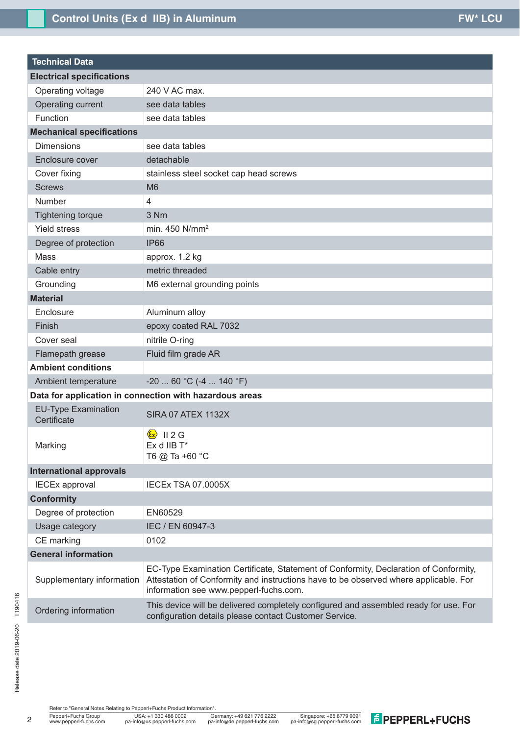| <b>Technical Data</b>                     |                                                                                                                                                                                                                        |  |  |  |  |  |  |  |
|-------------------------------------------|------------------------------------------------------------------------------------------------------------------------------------------------------------------------------------------------------------------------|--|--|--|--|--|--|--|
| <b>Electrical specifications</b>          |                                                                                                                                                                                                                        |  |  |  |  |  |  |  |
| Operating voltage                         | 240 V AC max.                                                                                                                                                                                                          |  |  |  |  |  |  |  |
| Operating current                         | see data tables                                                                                                                                                                                                        |  |  |  |  |  |  |  |
| Function                                  | see data tables                                                                                                                                                                                                        |  |  |  |  |  |  |  |
| <b>Mechanical specifications</b>          |                                                                                                                                                                                                                        |  |  |  |  |  |  |  |
| <b>Dimensions</b>                         | see data tables                                                                                                                                                                                                        |  |  |  |  |  |  |  |
| Enclosure cover                           | detachable                                                                                                                                                                                                             |  |  |  |  |  |  |  |
| Cover fixing                              | stainless steel socket cap head screws                                                                                                                                                                                 |  |  |  |  |  |  |  |
| <b>Screws</b>                             | M <sub>6</sub>                                                                                                                                                                                                         |  |  |  |  |  |  |  |
| <b>Number</b>                             | 4                                                                                                                                                                                                                      |  |  |  |  |  |  |  |
| <b>Tightening torque</b>                  | 3 Nm                                                                                                                                                                                                                   |  |  |  |  |  |  |  |
| <b>Yield stress</b>                       | min. 450 N/mm <sup>2</sup>                                                                                                                                                                                             |  |  |  |  |  |  |  |
| Degree of protection                      | <b>IP66</b>                                                                                                                                                                                                            |  |  |  |  |  |  |  |
| Mass                                      | approx. 1.2 kg                                                                                                                                                                                                         |  |  |  |  |  |  |  |
| Cable entry                               | metric threaded                                                                                                                                                                                                        |  |  |  |  |  |  |  |
| Grounding                                 | M6 external grounding points                                                                                                                                                                                           |  |  |  |  |  |  |  |
| <b>Material</b>                           |                                                                                                                                                                                                                        |  |  |  |  |  |  |  |
| Enclosure                                 | Aluminum alloy                                                                                                                                                                                                         |  |  |  |  |  |  |  |
| Finish                                    | epoxy coated RAL 7032                                                                                                                                                                                                  |  |  |  |  |  |  |  |
| Cover seal                                | nitrile O-ring                                                                                                                                                                                                         |  |  |  |  |  |  |  |
| Flamepath grease                          | Fluid film grade AR                                                                                                                                                                                                    |  |  |  |  |  |  |  |
| <b>Ambient conditions</b>                 |                                                                                                                                                                                                                        |  |  |  |  |  |  |  |
| Ambient temperature                       | $-20$ 60 °C (-4  140 °F)                                                                                                                                                                                               |  |  |  |  |  |  |  |
|                                           | Data for application in connection with hazardous areas                                                                                                                                                                |  |  |  |  |  |  |  |
| <b>EU-Type Examination</b><br>Certificate | <b>SIRA 07 ATEX 1132X</b>                                                                                                                                                                                              |  |  |  |  |  |  |  |
| Marking                                   | $\langle \mathbf{\epsilon} \mathbf{x} \rangle$<br><b>II2G</b><br>Ex d IIB T*<br>T6 @ Ta +60 °C                                                                                                                         |  |  |  |  |  |  |  |
| <b>International approvals</b>            |                                                                                                                                                                                                                        |  |  |  |  |  |  |  |
| <b>IECEx approval</b>                     | <b>IECEx TSA 07.0005X</b>                                                                                                                                                                                              |  |  |  |  |  |  |  |
| <b>Conformity</b>                         |                                                                                                                                                                                                                        |  |  |  |  |  |  |  |
| Degree of protection                      | EN60529                                                                                                                                                                                                                |  |  |  |  |  |  |  |
| Usage category                            | IEC / EN 60947-3                                                                                                                                                                                                       |  |  |  |  |  |  |  |
| CE marking                                | 0102                                                                                                                                                                                                                   |  |  |  |  |  |  |  |
| <b>General information</b>                |                                                                                                                                                                                                                        |  |  |  |  |  |  |  |
| Supplementary information                 | EC-Type Examination Certificate, Statement of Conformity, Declaration of Conformity,<br>Attestation of Conformity and instructions have to be observed where applicable. For<br>information see www.pepperl-fuchs.com. |  |  |  |  |  |  |  |
| Ordering information                      | This device will be delivered completely configured and assembled ready for use. For<br>configuration details please contact Customer Service.                                                                         |  |  |  |  |  |  |  |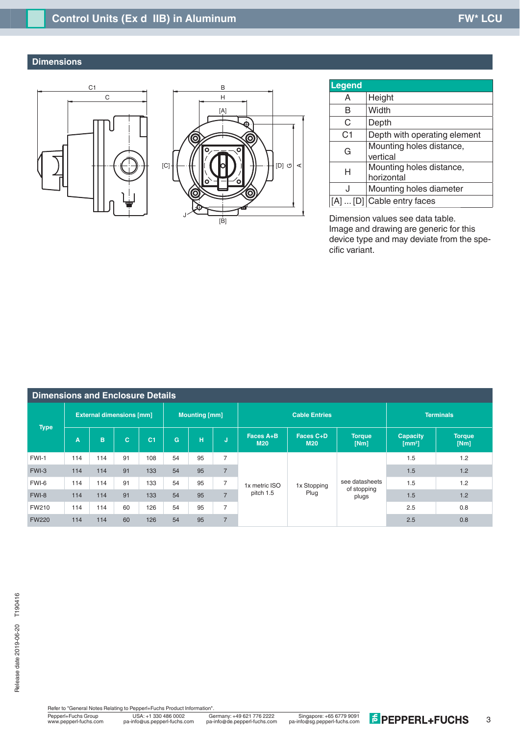# **Dimensions**

l





| <b>Legend</b>  |                                        |  |  |  |  |  |
|----------------|----------------------------------------|--|--|--|--|--|
| A              | Height                                 |  |  |  |  |  |
| в              | Width                                  |  |  |  |  |  |
| C              | Depth                                  |  |  |  |  |  |
| C <sub>1</sub> | Depth with operating element           |  |  |  |  |  |
| G              | Mounting holes distance,<br>vertical   |  |  |  |  |  |
| н              | Mounting holes distance,<br>horizontal |  |  |  |  |  |
| J              | Mounting holes diameter                |  |  |  |  |  |
|                | $\ldots$ [D] Cable entry faces         |  |  |  |  |  |

Dimension values see data table. Image and drawing are generic for this device type and may deviate from the specific variant.

| <b>Dimensions and Enclosure Details</b> |                                 |     |    |                |                      |    |                |                            |                         |                                        |                                      |                       |
|-----------------------------------------|---------------------------------|-----|----|----------------|----------------------|----|----------------|----------------------------|-------------------------|----------------------------------------|--------------------------------------|-----------------------|
| <b>Type</b>                             | <b>External dimensions [mm]</b> |     |    |                | <b>Mounting [mm]</b> |    |                | <b>Cable Entries</b>       |                         |                                        | <b>Terminals</b>                     |                       |
|                                         | A                               | B.  | C. | C <sub>1</sub> | G                    | H  | J.             | Faces A+B<br><b>M20</b>    | Faces C+D<br><b>M20</b> | <b>Torque</b><br>[Nm]                  | <b>Capacity</b><br>$\mathsf{[mm^2]}$ | <b>Torque</b><br>[Nm] |
| FWI-1                                   | 114                             | 114 | 91 | 108            | 54                   | 95 | $\overline{7}$ | 1x metric ISO<br>pitch 1.5 | 1x Stopping<br>Plug     | see datasheets<br>of stopping<br>plugs | 1.5                                  | 1.2                   |
| FWI-3                                   | 114                             | 114 | 91 | 133            | 54                   | 95 | $\overline{7}$ |                            |                         |                                        | 1.5                                  | 1.2                   |
| FWI-6                                   | 114                             | 114 | 91 | 133            | 54                   | 95 | $\overline{7}$ |                            |                         |                                        | 1.5                                  | 1.2                   |
| FWI-8                                   | 114                             | 114 | 91 | 133            | 54                   | 95 | $\overline{7}$ |                            |                         |                                        | 1.5                                  | 1.2                   |
| <b>FW210</b>                            | 114                             | 114 | 60 | 126            | 54                   | 95 | $\overline{7}$ |                            |                         |                                        | 2.5                                  | 0.8                   |
| <b>FW220</b>                            | 114                             | 114 | 60 | 126            | 54                   | 95 | $\overline{7}$ |                            |                         |                                        | 2.5                                  | 0.8                   |

Pepperl+Fuchs Group Germany: +49 621 776 2222 USA: +1 330 486 0002 Singapore: +65 6779 9091 www.pepperl-fuchs.com pa-info@us.pepperl-fuchs.com pa-info@sg.pepperl-fuchs.com pa-info@de.pepperl-fuchs.com Refer to "General Notes Relating to Pepperl+Fuchs Product Information"<br>
Pepperl+Fuchs Group<br>
Www.pepperl-fuchs.com pa-info@us.pepperl-fuchs.com pa-